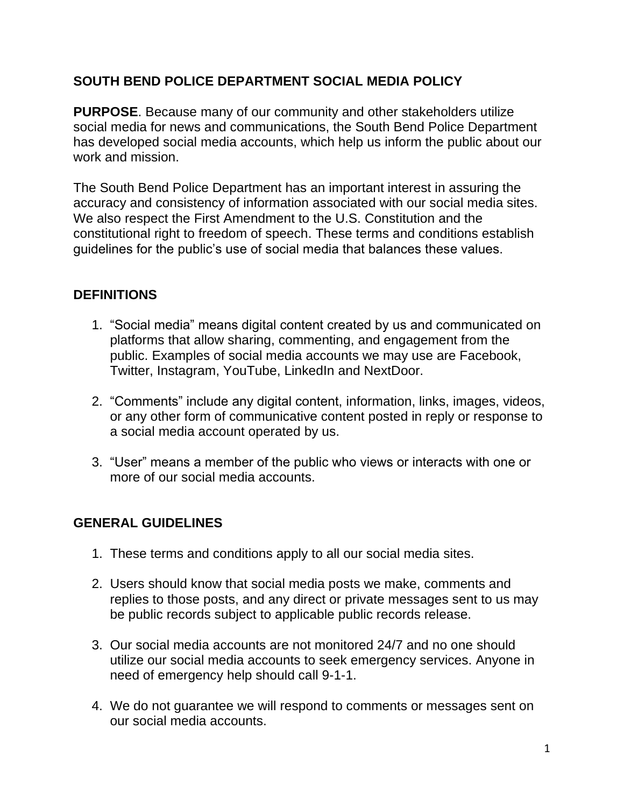# **SOUTH BEND POLICE DEPARTMENT SOCIAL MEDIA POLICY**

**PURPOSE**. Because many of our community and other stakeholders utilize social media for news and communications, the South Bend Police Department has developed social media accounts, which help us inform the public about our work and mission.

The South Bend Police Department has an important interest in assuring the accuracy and consistency of information associated with our social media sites. We also respect the First Amendment to the U.S. Constitution and the constitutional right to freedom of speech. These terms and conditions establish guidelines for the public's use of social media that balances these values.

## **DEFINITIONS**

- 1. "Social media" means digital content created by us and communicated on platforms that allow sharing, commenting, and engagement from the public. Examples of social media accounts we may use are Facebook, Twitter, Instagram, YouTube, LinkedIn and NextDoor.
- 2. "Comments" include any digital content, information, links, images, videos, or any other form of communicative content posted in reply or response to a social media account operated by us.
- 3. "User" means a member of the public who views or interacts with one or more of our social media accounts.

# **GENERAL GUIDELINES**

- 1. These terms and conditions apply to all our social media sites.
- 2. Users should know that social media posts we make, comments and replies to those posts, and any direct or private messages sent to us may be public records subject to applicable public records release.
- 3. Our social media accounts are not monitored 24/7 and no one should utilize our social media accounts to seek emergency services. Anyone in need of emergency help should call 9-1-1.
- 4. We do not guarantee we will respond to comments or messages sent on our social media accounts.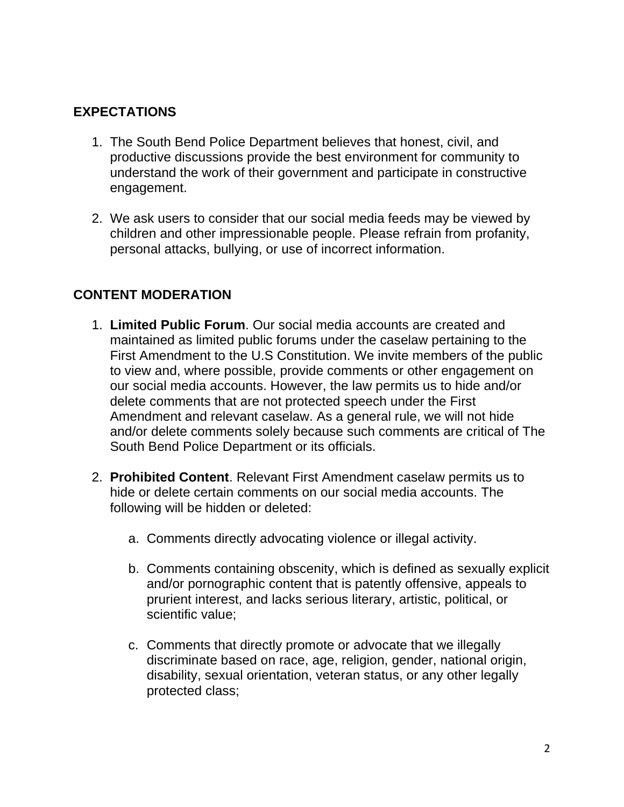## **EXPECTATIONS**

- 1. The South Bend Police Department believes that honest, civil, and productive discussions provide the best environment for community to understand the work of their government and participate in constructive engagement.
- 2. We ask users to consider that our social media feeds may be viewed by children and other impressionable people. Please refrain from profanity, personal attacks, bullying, or use of incorrect information.

## **CONTENT MODERATION**

- 1. **Limited Public Forum**. Our social media accounts are created and maintained as limited public forums under the caselaw pertaining to the First Amendment to the U.S Constitution. We invite members of the public to view and, where possible, provide comments or other engagement on our social media accounts. However, the law permits us to hide and/or delete comments that are not protected speech under the First Amendment and relevant caselaw. As a general rule, we will not hide and/or delete comments solely because such comments are critical of The South Bend Police Department or its officials.
- 2. **Prohibited Content**. Relevant First Amendment caselaw permits us to hide or delete certain comments on our social media accounts. The following will be hidden or deleted:
	- a. Comments directly advocating violence or illegal activity.
	- b. Comments containing obscenity, which is defined as sexually explicit and/or pornographic content that is patently offensive, appeals to prurient interest, and lacks serious literary, artistic, political, or scientific value;
	- c. Comments that directly promote or advocate that we illegally discriminate based on race, age, religion, gender, national origin, disability, sexual orientation, veteran status, or any other legally protected class;